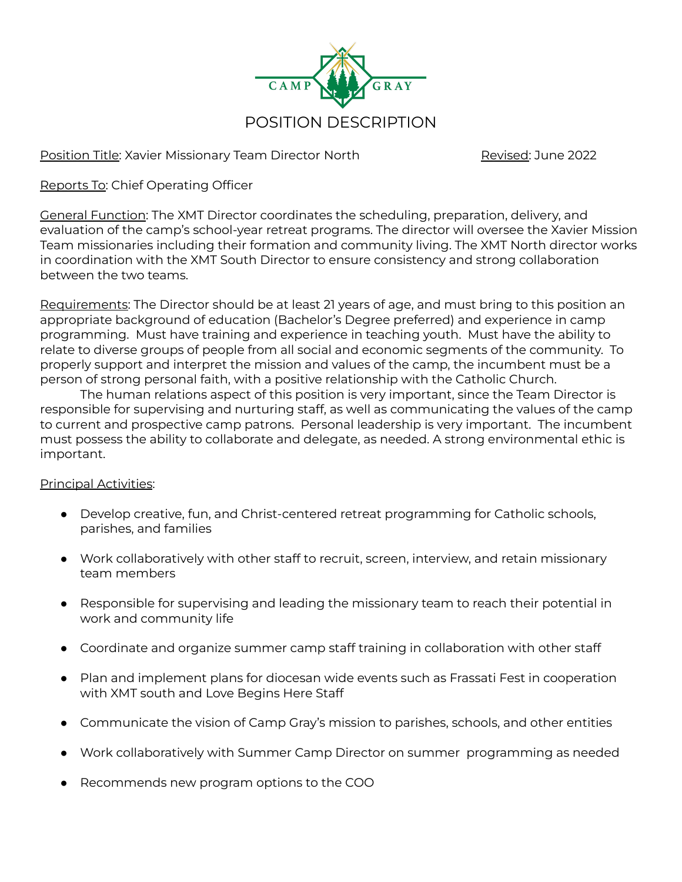

Position Title: Xavier Missionary Team Director North Revised: June 2022

Reports To: Chief Operating Officer

General Function: The XMT Director coordinates the scheduling, preparation, delivery, and evaluation of the camp's school-year retreat programs. The director will oversee the Xavier Mission Team missionaries including their formation and community living. The XMT North director works in coordination with the XMT South Director to ensure consistency and strong collaboration between the two teams.

Requirements: The Director should be at least 21 years of age, and must bring to this position an appropriate background of education (Bachelor's Degree preferred) and experience in camp programming. Must have training and experience in teaching youth. Must have the ability to relate to diverse groups of people from all social and economic segments of the community. To properly support and interpret the mission and values of the camp, the incumbent must be a person of strong personal faith, with a positive relationship with the Catholic Church.

The human relations aspect of this position is very important, since the Team Director is responsible for supervising and nurturing staff, as well as communicating the values of the camp to current and prospective camp patrons. Personal leadership is very important. The incumbent must possess the ability to collaborate and delegate, as needed. A strong environmental ethic is important.

## Principal Activities:

- Develop creative, fun, and Christ-centered retreat programming for Catholic schools, parishes, and families
- Work collaboratively with other staff to recruit, screen, interview, and retain missionary team members
- Responsible for supervising and leading the missionary team to reach their potential in work and community life
- Coordinate and organize summer camp staff training in collaboration with other staff
- Plan and implement plans for diocesan wide events such as Frassati Fest in cooperation with XMT south and Love Begins Here Staff
- Communicate the vision of Camp Gray's mission to parishes, schools, and other entities
- Work collaboratively with Summer Camp Director on summer programming as needed
- Recommends new program options to the COO